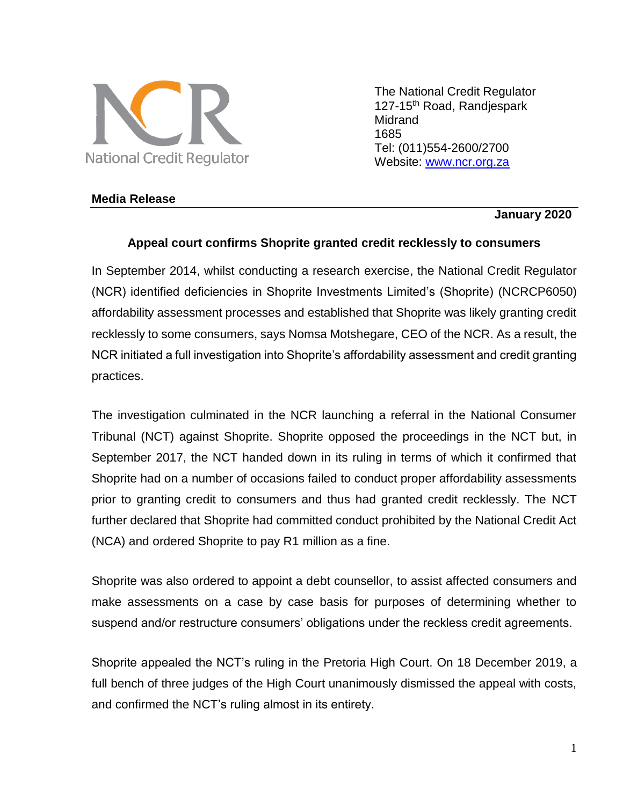

The National Credit Regulator 127-15<sup>th</sup> Road, Randjespark Midrand 1685 Tel: (011)554-2600/2700 Website: [www.ncr.org.za](http://www.ncr.org.za/)

## **Media Release**

## **January 2020**

## **Appeal court confirms Shoprite granted credit recklessly to consumers**

In September 2014, whilst conducting a research exercise, the National Credit Regulator (NCR) identified deficiencies in Shoprite Investments Limited's (Shoprite) (NCRCP6050) affordability assessment processes and established that Shoprite was likely granting credit recklessly to some consumers, says Nomsa Motshegare, CEO of the NCR. As a result, the NCR initiated a full investigation into Shoprite's affordability assessment and credit granting practices.

The investigation culminated in the NCR launching a referral in the National Consumer Tribunal (NCT) against Shoprite. Shoprite opposed the proceedings in the NCT but, in September 2017, the NCT handed down in its ruling in terms of which it confirmed that Shoprite had on a number of occasions failed to conduct proper affordability assessments prior to granting credit to consumers and thus had granted credit recklessly. The NCT further declared that Shoprite had committed conduct prohibited by the National Credit Act (NCA) and ordered Shoprite to pay R1 million as a fine.

Shoprite was also ordered to appoint a debt counsellor, to assist affected consumers and make assessments on a case by case basis for purposes of determining whether to suspend and/or restructure consumers' obligations under the reckless credit agreements.

Shoprite appealed the NCT's ruling in the Pretoria High Court. On 18 December 2019, a full bench of three judges of the High Court unanimously dismissed the appeal with costs, and confirmed the NCT's ruling almost in its entirety.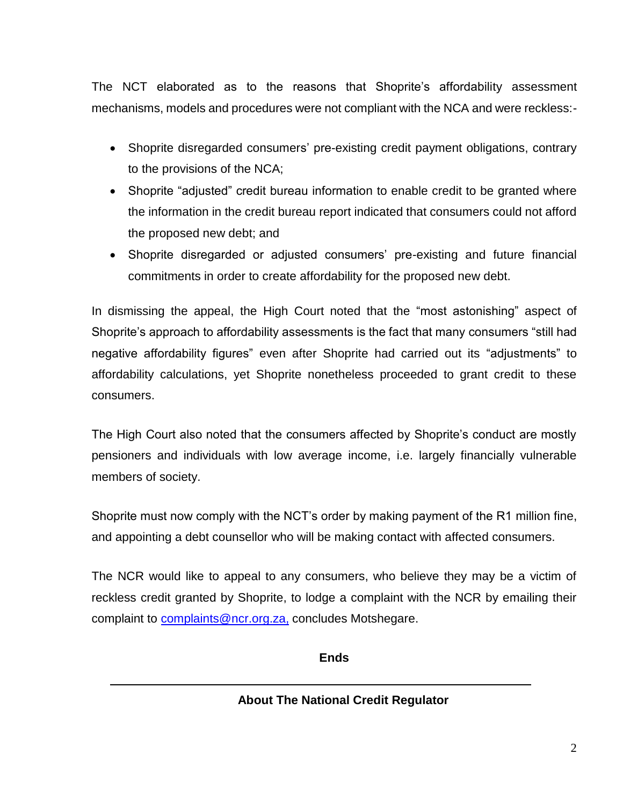The NCT elaborated as to the reasons that Shoprite's affordability assessment mechanisms, models and procedures were not compliant with the NCA and were reckless:-

- Shoprite disregarded consumers' pre-existing credit payment obligations, contrary to the provisions of the NCA;
- Shoprite "adjusted" credit bureau information to enable credit to be granted where the information in the credit bureau report indicated that consumers could not afford the proposed new debt; and
- Shoprite disregarded or adjusted consumers' pre-existing and future financial commitments in order to create affordability for the proposed new debt.

In dismissing the appeal, the High Court noted that the "most astonishing" aspect of Shoprite's approach to affordability assessments is the fact that many consumers "still had negative affordability figures" even after Shoprite had carried out its "adjustments" to affordability calculations, yet Shoprite nonetheless proceeded to grant credit to these consumers.

The High Court also noted that the consumers affected by Shoprite's conduct are mostly pensioners and individuals with low average income, i.e. largely financially vulnerable members of society.

Shoprite must now comply with the NCT's order by making payment of the R1 million fine, and appointing a debt counsellor who will be making contact with affected consumers.

The NCR would like to appeal to any consumers, who believe they may be a victim of reckless credit granted by Shoprite, to lodge a complaint with the NCR by emailing their complaint to **complaints@ncr.org.za**, concludes Motshegare.

**Ends**

**About The National Credit Regulator**